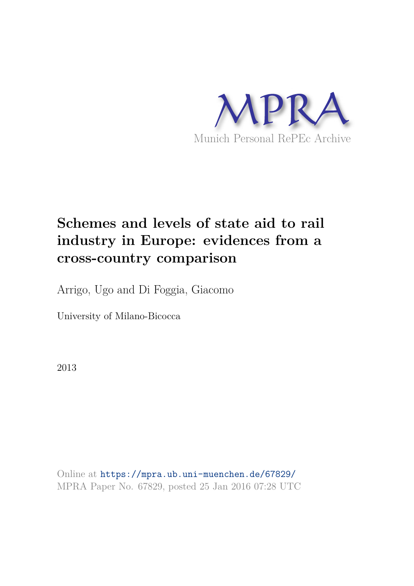

# **Schemes and levels of state aid to rail industry in Europe: evidences from a cross-country comparison**

Arrigo, Ugo and Di Foggia, Giacomo

University of Milano-Bicocca

2013

Online at https://mpra.ub.uni-muenchen.de/67829/ MPRA Paper No. 67829, posted 25 Jan 2016 07:28 UTC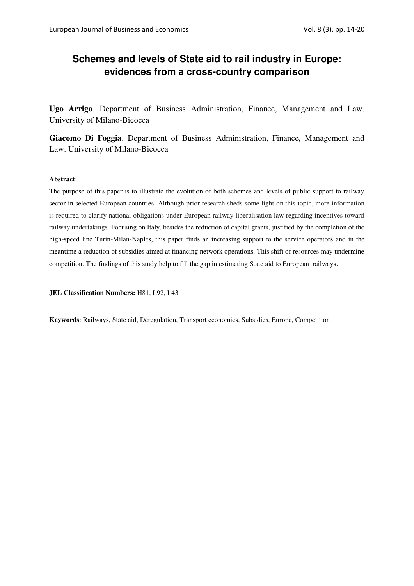# **Schemes and levels of State aid to rail industry in Europe: evidences from a cross-country comparison**

**Ugo Arrigo**. Department of Business Administration, Finance, Management and Law. University of Milano-Bicocca

**Giacomo Di Foggia**. Department of Business Administration, Finance, Management and Law. University of Milano-Bicocca

# **Abstract**:

The purpose of this paper is to illustrate the evolution of both schemes and levels of public support to railway sector in selected European countries. Although prior research sheds some light on this topic, more information is required to clarify national obligations under European railway liberalisation law regarding incentives toward railway undertakings. Focusing on Italy, besides the reduction of capital grants, justified by the completion of the high-speed line Turin-Milan-Naples, this paper finds an increasing support to the service operators and in the meantime a reduction of subsidies aimed at financing network operations. This shift of resources may undermine competition. The findings of this study help to fill the gap in estimating State aid to European railways.

**JEL Classification Numbers:** H81, L92, L43

**Keywords**: Railways, State aid, Deregulation, Transport economics, Subsidies, Europe, Competition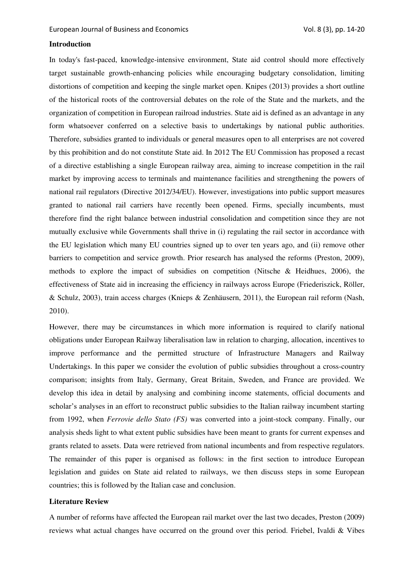# **Introduction**

In today's fast-paced, knowledge-intensive environment, State aid control should more effectively target sustainable growth-enhancing policies while encouraging budgetary consolidation, limiting distortions of competition and keeping the single market open. Knipes (2013) provides a short outline of the historical roots of the controversial debates on the role of the State and the markets, and the organization of competition in European railroad industries. State aid is defined as an advantage in any form whatsoever conferred on a selective basis to undertakings by national public authorities. Therefore, subsidies granted to individuals or general measures open to all enterprises are not covered by this prohibition and do not constitute State aid. In 2012 The EU Commission has proposed a recast of a directive establishing a single European railway area, aiming to increase competition in the rail market by improving access to terminals and maintenance facilities and strengthening the powers of national rail regulators (Directive 2012/34/EU). However, investigations into public support measures granted to national rail carriers have recently been opened. Firms, specially incumbents, must therefore find the right balance between industrial consolidation and competition since they are not mutually exclusive while Governments shall thrive in (i) regulating the rail sector in accordance with the EU legislation which many EU countries signed up to over ten years ago, and (ii) remove other barriers to competition and service growth. Prior research has analysed the reforms (Preston, 2009), methods to explore the impact of subsidies on competition (Nitsche & Heidhues, 2006), the effectiveness of State aid in increasing the efficiency in railways across Europe (Friederiszick, Röller, & Schulz, 2003), train access charges (Knieps & Zenhäusern, 2011), the European rail reform (Nash, 2010).

However, there may be circumstances in which more information is required to clarify national obligations under European Railway liberalisation law in relation to charging, allocation, incentives to improve performance and the permitted structure of Infrastructure Managers and Railway Undertakings. In this paper we consider the evolution of public subsidies throughout a cross-country comparison; insights from Italy, Germany, Great Britain, Sweden, and France are provided. We develop this idea in detail by analysing and combining income statements, official documents and scholar's analyses in an effort to reconstruct public subsidies to the Italian railway incumbent starting from 1992, when *Ferrovie dello Stato (FS)* was converted into a joint-stock company. Finally, our analysis sheds light to what extent public subsidies have been meant to grants for current expenses and grants related to assets. Data were retrieved from national incumbents and from respective regulators. The remainder of this paper is organised as follows: in the first section to introduce European legislation and guides on State aid related to railways, we then discuss steps in some European countries; this is followed by the Italian case and conclusion.

# **Literature Review**

A number of reforms have affected the European rail market over the last two decades, Preston (2009) reviews what actual changes have occurred on the ground over this period. Friebel, Ivaldi & Vibes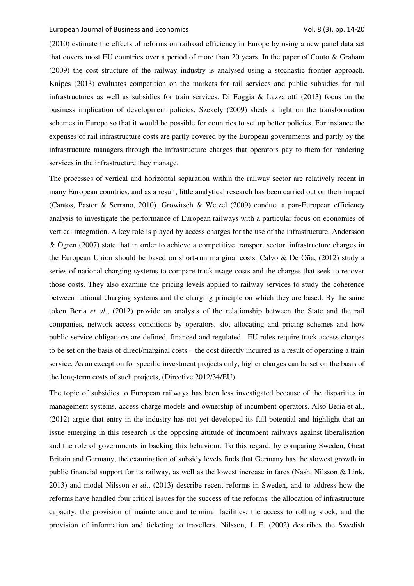(2010) estimate the effects of reforms on railroad efficiency in Europe by using a new panel data set that covers most EU countries over a period of more than 20 years. In the paper of Couto & Graham (2009) the cost structure of the railway industry is analysed using a stochastic frontier approach. Knipes (2013) evaluates competition on the markets for rail services and public subsidies for rail infrastructures as well as subsidies for train services. Di Foggia & Lazzarotti (2013) focus on the business implication of development policies, Szekely (2009) sheds a light on the transformation schemes in Europe so that it would be possible for countries to set up better policies. For instance the expenses of rail infrastructure costs are partly covered by the European governments and partly by the infrastructure managers through the infrastructure charges that operators pay to them for rendering services in the infrastructure they manage.

The processes of vertical and horizontal separation within the railway sector are relatively recent in many European countries, and as a result, little analytical research has been carried out on their impact (Cantos, Pastor & Serrano, 2010). Growitsch & Wetzel (2009) conduct a pan-European efficiency analysis to investigate the performance of European railways with a particular focus on economies of vertical integration. A key role is played by access charges for the use of the infrastructure, Andersson & Ögren (2007) state that in order to achieve a competitive transport sector, infrastructure charges in the European Union should be based on short-run marginal costs. Calvo & De Oña, (2012) study a series of national charging systems to compare track usage costs and the charges that seek to recover those costs. They also examine the pricing levels applied to railway services to study the coherence between national charging systems and the charging principle on which they are based. By the same token Beria *et al*., (2012) provide an analysis of the relationship between the State and the rail companies, network access conditions by operators, slot allocating and pricing schemes and how public service obligations are defined, financed and regulated. EU rules require track access charges to be set on the basis of direct/marginal costs – the cost directly incurred as a result of operating a train service. As an exception for specific investment projects only, higher charges can be set on the basis of the long-term costs of such projects, (Directive 2012/34/EU).

The topic of subsidies to European railways has been less investigated because of the disparities in management systems, access charge models and ownership of incumbent operators. Also Beria et al., (2012) argue that entry in the industry has not yet developed its full potential and highlight that an issue emerging in this research is the opposing attitude of incumbent railways against liberalisation and the role of governments in backing this behaviour. To this regard, by comparing Sweden, Great Britain and Germany, the examination of subsidy levels finds that Germany has the slowest growth in public financial support for its railway, as well as the lowest increase in fares (Nash, Nilsson & Link, 2013) and model Nilsson *et al*., (2013) describe recent reforms in Sweden, and to address how the reforms have handled four critical issues for the success of the reforms: the allocation of infrastructure capacity; the provision of maintenance and terminal facilities; the access to rolling stock; and the provision of information and ticketing to travellers. Nilsson, J. E. (2002) describes the Swedish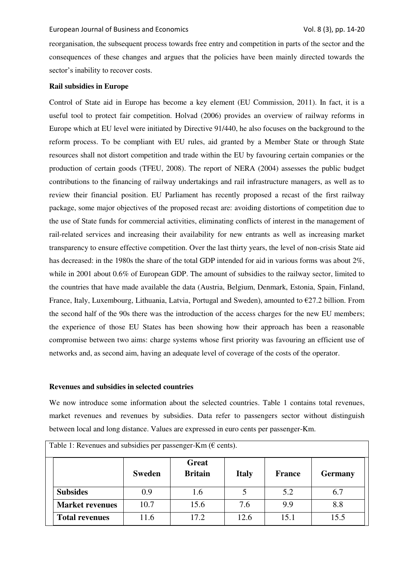reorganisation, the subsequent process towards free entry and competition in parts of the sector and the consequences of these changes and argues that the policies have been mainly directed towards the sector's inability to recover costs.

## **Rail subsidies in Europe**

Control of State aid in Europe has become a key element (EU Commission, 2011). In fact, it is a useful tool to protect fair competition. Holvad (2006) provides an overview of railway reforms in Europe which at EU level were initiated by Directive 91/440, he also focuses on the background to the reform process. To be compliant with EU rules, aid granted by a Member State or through State resources shall not distort competition and trade within the EU by favouring certain companies or the production of certain goods (TFEU, 2008). The report of NERA (2004) assesses the public budget contributions to the financing of railway undertakings and rail infrastructure managers, as well as to review their financial position. EU Parliament has recently proposed a recast of the first railway package, some major objectives of the proposed recast are: avoiding distortions of competition due to the use of State funds for commercial activities, eliminating conflicts of interest in the management of rail-related services and increasing their availability for new entrants as well as increasing market transparency to ensure effective competition. Over the last thirty years, the level of non-crisis State aid has decreased: in the 1980s the share of the total GDP intended for aid in various forms was about 2%, while in 2001 about 0.6% of European GDP. The amount of subsidies to the railway sector, limited to the countries that have made available the data (Austria, Belgium, Denmark, Estonia, Spain, Finland, France, Italy, Luxembourg, Lithuania, Latvia, Portugal and Sweden), amounted to €27.2 billion. From the second half of the 90s there was the introduction of the access charges for the new EU members; the experience of those EU States has been showing how their approach has been a reasonable compromise between two aims: charge systems whose first priority was favouring an efficient use of networks and, as second aim, having an adequate level of coverage of the costs of the operator.

#### **Revenues and subsidies in selected countries**

We now introduce some information about the selected countries. Table 1 contains total revenues, market revenues and revenues by subsidies. Data refer to passengers sector without distinguish between local and long distance. Values are expressed in euro cents per passenger-Km.

| Table 1: Revenues and subsidies per passenger-Km ( $\epsilon$ cents). |               |                                |              |               |                |  |  |  |
|-----------------------------------------------------------------------|---------------|--------------------------------|--------------|---------------|----------------|--|--|--|
|                                                                       | <b>Sweden</b> | <b>Great</b><br><b>Britain</b> | <b>Italy</b> | <b>France</b> | <b>Germany</b> |  |  |  |
| <b>Subsides</b>                                                       | 0.9           | 1.6                            |              | 5.2           | 6.7            |  |  |  |
| <b>Market revenues</b>                                                | 10.7          | 15.6                           | 7.6          | 9.9           | 8.8            |  |  |  |
| <b>Total revenues</b>                                                 | 11.6          | 17.2                           | 12.6         | 15.1          | 15.5           |  |  |  |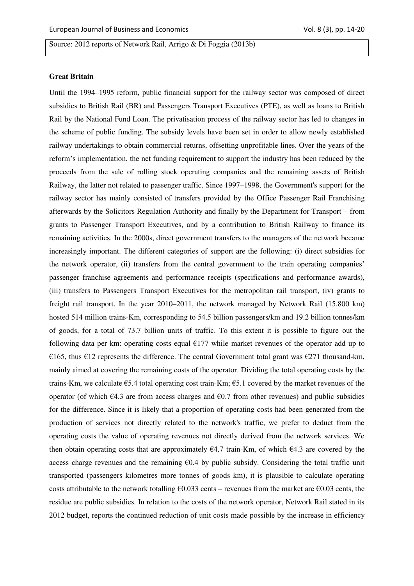Source: 2012 reports of Network Rail, Arrigo & Di Foggia (2013b)

# **Great Britain**

Until the 1994–1995 reform, public financial support for the railway sector was composed of direct subsidies to British Rail (BR) and Passengers Transport Executives (PTE), as well as loans to British Rail by the National Fund Loan. The privatisation process of the railway sector has led to changes in the scheme of public funding. The subsidy levels have been set in order to allow newly established railway undertakings to obtain commercial returns, offsetting unprofitable lines. Over the years of the reform's implementation, the net funding requirement to support the industry has been reduced by the proceeds from the sale of rolling stock operating companies and the remaining assets of British Railway, the latter not related to passenger traffic. Since 1997–1998, the Government's support for the railway sector has mainly consisted of transfers provided by the Office Passenger Rail Franchising afterwards by the Solicitors Regulation Authority and finally by the Department for Transport – from grants to Passenger Transport Executives, and by a contribution to British Railway to finance its remaining activities. In the 2000s, direct government transfers to the managers of the network became increasingly important. The different categories of support are the following: (i) direct subsidies for the network operator, (ii) transfers from the central government to the train operating companies' passenger franchise agreements and performance receipts (specifications and performance awards), (iii) transfers to Passengers Transport Executives for the metropolitan rail transport, (iv) grants to freight rail transport. In the year 2010–2011, the network managed by Network Rail (15.800 km) hosted 514 million trains-Km, corresponding to 54.5 billion passengers/km and 19.2 billion tonnes/km of goods, for a total of 73.7 billion units of traffic. To this extent it is possible to figure out the following data per km: operating costs equal  $E177$  while market revenues of the operator add up to €165, thus €12 represents the difference. The central Government total grant was €271 thousand-km, mainly aimed at covering the remaining costs of the operator. Dividing the total operating costs by the trains-Km, we calculate  $65.4$  total operating cost train-Km;  $65.1$  covered by the market revenues of the operator (of which  $\epsilon$ 4.3 are from access charges and  $\epsilon$ 0.7 from other revenues) and public subsidies for the difference. Since it is likely that a proportion of operating costs had been generated from the production of services not directly related to the network's traffic, we prefer to deduct from the operating costs the value of operating revenues not directly derived from the network services. We then obtain operating costs that are approximately  $64.7$  train-Km, of which  $64.3$  are covered by the access charge revenues and the remaining  $\epsilon 0.4$  by public subsidy. Considering the total traffic unit transported (passengers kilometres more tonnes of goods km), it is plausible to calculate operating costs attributable to the network totalling  $\epsilon$ 0.033 cents – revenues from the market are  $\epsilon$ 0.03 cents, the residue are public subsidies. In relation to the costs of the network operator, Network Rail stated in its 2012 budget, reports the continued reduction of unit costs made possible by the increase in efficiency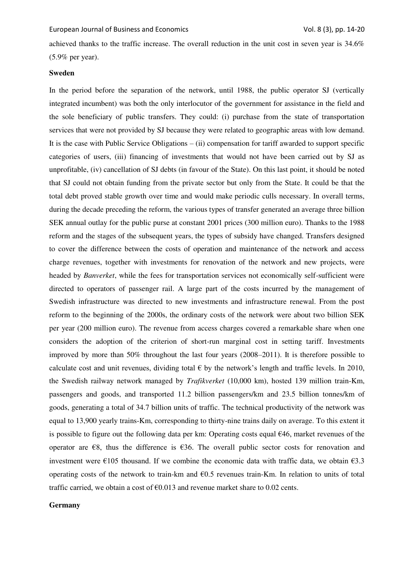achieved thanks to the traffic increase. The overall reduction in the unit cost in seven year is 34.6% (5.9% per year).

# **Sweden**

In the period before the separation of the network, until 1988, the public operator SJ (vertically integrated incumbent) was both the only interlocutor of the government for assistance in the field and the sole beneficiary of public transfers. They could: (i) purchase from the state of transportation services that were not provided by SJ because they were related to geographic areas with low demand. It is the case with Public Service Obligations – (ii) compensation for tariff awarded to support specific categories of users, (iii) financing of investments that would not have been carried out by SJ as unprofitable, (iv) cancellation of SJ debts (in favour of the State). On this last point, it should be noted that SJ could not obtain funding from the private sector but only from the State. It could be that the total debt proved stable growth over time and would make periodic culls necessary. In overall terms, during the decade preceding the reform, the various types of transfer generated an average three billion SEK annual outlay for the public purse at constant 2001 prices (300 million euro). Thanks to the 1988 reform and the stages of the subsequent years, the types of subsidy have changed. Transfers designed to cover the difference between the costs of operation and maintenance of the network and access charge revenues, together with investments for renovation of the network and new projects, were headed by *Banverket*, while the fees for transportation services not economically self-sufficient were directed to operators of passenger rail. A large part of the costs incurred by the management of Swedish infrastructure was directed to new investments and infrastructure renewal. From the post reform to the beginning of the 2000s, the ordinary costs of the network were about two billion SEK per year (200 million euro). The revenue from access charges covered a remarkable share when one considers the adoption of the criterion of short-run marginal cost in setting tariff. Investments improved by more than 50% throughout the last four years (2008–2011). It is therefore possible to calculate cost and unit revenues, dividing total  $\epsilon$  by the network's length and traffic levels. In 2010, the Swedish railway network managed by *Trafikverket* (10,000 km), hosted 139 million train-Km, passengers and goods, and transported 11.2 billion passengers/km and 23.5 billion tonnes/km of goods, generating a total of 34.7 billion units of traffic. The technical productivity of the network was equal to 13,900 yearly trains-Km, corresponding to thirty-nine trains daily on average. To this extent it is possible to figure out the following data per km: Operating costs equal €46, market revenues of the operator are  $\epsilon$ 8, thus the difference is  $\epsilon$ 36. The overall public sector costs for renovation and investment were  $\epsilon$ 105 thousand. If we combine the economic data with traffic data, we obtain  $\epsilon$ 3.3 operating costs of the network to train-km and  $60.5$  revenues train-Km. In relation to units of total traffic carried, we obtain a cost of  $\epsilon$ 0.013 and revenue market share to 0.02 cents.

# **Germany**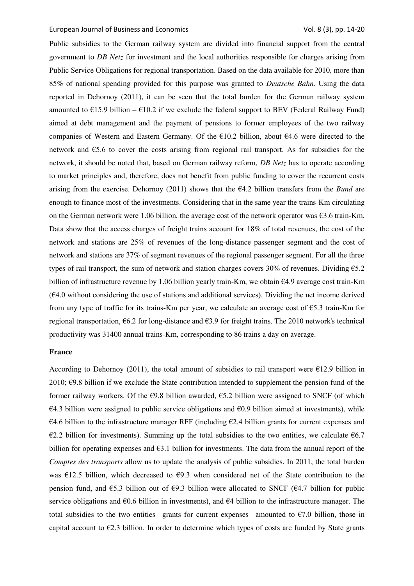Public subsidies to the German railway system are divided into financial support from the central government to *DB Netz* for investment and the local authorities responsible for charges arising from Public Service Obligations for regional transportation. Based on the data available for 2010, more than 85% of national spending provided for this purpose was granted to *Deutsche Bahn*. Using the data reported in Dehornoy (2011), it can be seen that the total burden for the German railway system amounted to  $\epsilon$ 15.9 billion –  $\epsilon$ 10.2 if we exclude the federal support to BEV (Federal Railway Fund) aimed at debt management and the payment of pensions to former employees of the two railway companies of Western and Eastern Germany. Of the €10.2 billion, about €4.6 were directed to the network and €5.6 to cover the costs arising from regional rail transport. As for subsidies for the network, it should be noted that, based on German railway reform, *DB Netz* has to operate according to market principles and, therefore, does not benefit from public funding to cover the recurrent costs arising from the exercise. Dehornoy (2011) shows that the €4.2 billion transfers from the *Bund* are enough to finance most of the investments. Considering that in the same year the trains-Km circulating on the German network were 1.06 billion, the average cost of the network operator was  $\epsilon$ 3.6 train-Km. Data show that the access charges of freight trains account for 18% of total revenues, the cost of the network and stations are 25% of revenues of the long-distance passenger segment and the cost of network and stations are 37% of segment revenues of the regional passenger segment. For all the three types of rail transport, the sum of network and station charges covers 30% of revenues. Dividing  $65.2$ billion of infrastructure revenue by 1.06 billion yearly train-Km, we obtain €4.9 average cost train-Km  $(64.0$  without considering the use of stations and additional services). Dividing the net income derived from any type of traffic for its trains-Km per year, we calculate an average cost of €5.3 train-Km for regional transportation,  $66.2$  for long-distance and  $63.9$  for freight trains. The 2010 network's technical productivity was 31400 annual trains-Km, corresponding to 86 trains a day on average.

#### **France**

According to Dehornoy (2011), the total amount of subsidies to rail transport were  $\epsilon$ 12.9 billion in 2010;  $\epsilon$ 9.8 billion if we exclude the State contribution intended to supplement the pension fund of the former railway workers. Of the  $69.8$  billion awarded,  $65.2$  billion were assigned to SNCF (of which  $\epsilon$ 4.3 billion were assigned to public service obligations and  $\epsilon$ 0.9 billion aimed at investments), while  $\epsilon$ 4.6 billion to the infrastructure manager RFF (including  $\epsilon$ 2.4 billion grants for current expenses and  $€2.2$  billion for investments). Summing up the total subsidies to the two entities, we calculate  $€6.7$ billion for operating expenses and €3.1 billion for investments. The data from the annual report of the *Comptes des transports* allow us to update the analysis of public subsidies. In 2011, the total burden was  $E12.5$  billion, which decreased to  $E9.3$  when considered net of the State contribution to the pension fund, and  $\epsilon$ 5.3 billion out of  $\epsilon$ 9.3 billion were allocated to SNCF ( $\epsilon$ 4.7 billion for public service obligations and  $\epsilon$ 0.6 billion in investments), and  $\epsilon$ 4 billion to the infrastructure manager. The total subsidies to the two entities –grants for current expenses– amounted to  $\epsilon$ 7.0 billion, those in capital account to  $E2.3$  billion. In order to determine which types of costs are funded by State grants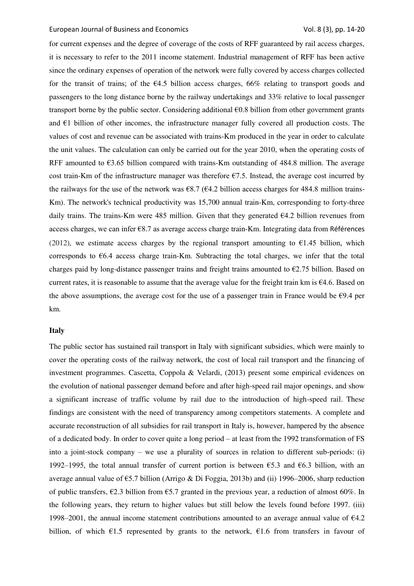for current expenses and the degree of coverage of the costs of RFF guaranteed by rail access charges, it is necessary to refer to the 2011 income statement. Industrial management of RFF has been active since the ordinary expenses of operation of the network were fully covered by access charges collected for the transit of trains; of the  $64.5$  billion access charges, 66% relating to transport goods and passengers to the long distance borne by the railway undertakings and 33% relative to local passenger transport borne by the public sector. Considering additional €0.8 billion from other government grants and  $\epsilon$ 1 billion of other incomes, the infrastructure manager fully covered all production costs. The values of cost and revenue can be associated with trains-Km produced in the year in order to calculate the unit values. The calculation can only be carried out for the year 2010, when the operating costs of RFF amounted to  $63.65$  billion compared with trains-Km outstanding of 484.8 million. The average cost train-Km of the infrastructure manager was therefore  $\epsilon$ 7.5. Instead, the average cost incurred by the railways for the use of the network was  $\epsilon$ 8.7 ( $\epsilon$ 4.2 billion access charges for 484.8 million trains-Km). The network's technical productivity was 15,700 annual train-Km, corresponding to forty-three daily trains. The trains-Km were 485 million. Given that they generated  $64.2$  billion revenues from access charges, we can infer €8.7 as average access charge train-Km. Integrating data from Références (2012), we estimate access charges by the regional transport amounting to  $\epsilon$ 1.45 billion, which corresponds to  $66.4$  access charge train-Km. Subtracting the total charges, we infer that the total charges paid by long-distance passenger trains and freight trains amounted to  $\epsilon$ 2.75 billion. Based on current rates, it is reasonable to assume that the average value for the freight train km is  $64.6$ . Based on the above assumptions, the average cost for the use of a passenger train in France would be  $\epsilon$ 9.4 per km.

#### **Italy**

The public sector has sustained rail transport in Italy with significant subsidies, which were mainly to cover the operating costs of the railway network, the cost of local rail transport and the financing of investment programmes. Cascetta, Coppola & Velardi, (2013) present some empirical evidences on the evolution of national passenger demand before and after high-speed rail major openings, and show a significant increase of traffic volume by rail due to the introduction of high-speed rail. These findings are consistent with the need of transparency among competitors statements. A complete and accurate reconstruction of all subsidies for rail transport in Italy is, however, hampered by the absence of a dedicated body. In order to cover quite a long period – at least from the 1992 transformation of FS into a joint-stock company – we use a plurality of sources in relation to different sub-periods: (i) 1992–1995, the total annual transfer of current portion is between  $\epsilon$ 5.3 and  $\epsilon$ 6.3 billion, with an average annual value of  $\epsilon$ 5.7 billion (Arrigo & Di Foggia, 2013b) and (ii) 1996–2006, sharp reduction of public transfers,  $\epsilon$ 2.3 billion from  $\epsilon$ 5.7 granted in the previous year, a reduction of almost 60%. In the following years, they return to higher values but still below the levels found before 1997. (iii) 1998–2001, the annual income statement contributions amounted to an average annual value of €4.2 billion, of which  $\epsilon$ 1.5 represented by grants to the network,  $\epsilon$ 1.6 from transfers in favour of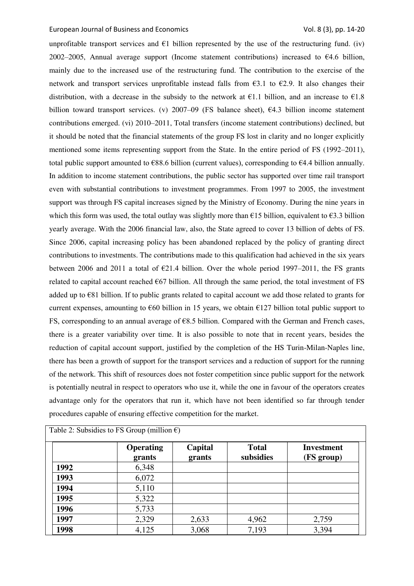unprofitable transport services and  $E1$  billion represented by the use of the restructuring fund. (iv) 2002–2005, Annual average support (Income statement contributions) increased to  $64.6$  billion, mainly due to the increased use of the restructuring fund. The contribution to the exercise of the network and transport services unprofitable instead falls from  $63.1$  to  $62.9$ . It also changes their distribution, with a decrease in the subsidy to the network at  $E1.1$  billion, and an increase to  $E1.8$ billion toward transport services. (v) 2007–09 (FS balance sheet),  $64.3$  billion income statement contributions emerged. (vi) 2010–2011, Total transfers (income statement contributions) declined, but it should be noted that the financial statements of the group FS lost in clarity and no longer explicitly mentioned some items representing support from the State. In the entire period of FS (1992–2011), total public support amounted to  $688.6$  billion (current values), corresponding to  $64.4$  billion annually. In addition to income statement contributions, the public sector has supported over time rail transport even with substantial contributions to investment programmes. From 1997 to 2005, the investment support was through FS capital increases signed by the Ministry of Economy. During the nine years in which this form was used, the total outlay was slightly more than  $\epsilon$ 15 billion, equivalent to  $\epsilon$ 3.3 billion yearly average. With the 2006 financial law, also, the State agreed to cover 13 billion of debts of FS. Since 2006, capital increasing policy has been abandoned replaced by the policy of granting direct contributions to investments. The contributions made to this qualification had achieved in the six years between 2006 and 2011 a total of  $\epsilon$ 21.4 billion. Over the whole period 1997–2011, the FS grants related to capital account reached €67 billion. All through the same period, the total investment of FS added up to €81 billion. If to public grants related to capital account we add those related to grants for current expenses, amounting to  $\epsilon$ 60 billion in 15 years, we obtain  $\epsilon$ 127 billion total public support to FS, corresponding to an annual average of €8.5 billion. Compared with the German and French cases, there is a greater variability over time. It is also possible to note that in recent years, besides the reduction of capital account support, justified by the completion of the HS Turin-Milan-Naples line, there has been a growth of support for the transport services and a reduction of support for the running of the network. This shift of resources does not foster competition since public support for the network is potentially neutral in respect to operators who use it, while the one in favour of the operators creates advantage only for the operators that run it, which have not been identified so far through tender procedures capable of ensuring effective competition for the market.

|      | <b>Operating</b><br>grants | Capital<br>grants | <b>Total</b><br>subsidies | <b>Investment</b><br>(FS group) |
|------|----------------------------|-------------------|---------------------------|---------------------------------|
| 1992 | 6,348                      |                   |                           |                                 |
| 1993 | 6,072                      |                   |                           |                                 |
| 1994 | 5,110                      |                   |                           |                                 |
| 1995 | 5,322                      |                   |                           |                                 |
| 1996 | 5,733                      |                   |                           |                                 |
| 1997 | 2,329                      | 2,633             | 4,962                     | 2,759                           |
| 1998 | 4,125                      | 3,068             | 7,193                     | 3,394                           |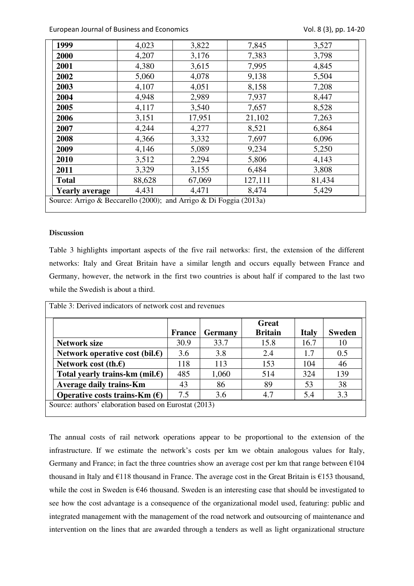| 1999                                                               | 4,023  | 3,822  | 7,845   | 3,527  |  |  |  |
|--------------------------------------------------------------------|--------|--------|---------|--------|--|--|--|
| 2000                                                               | 4,207  | 3,176  | 7,383   | 3,798  |  |  |  |
| 2001                                                               | 4,380  | 3,615  | 7,995   | 4,845  |  |  |  |
| 2002                                                               | 5,060  | 4,078  | 9,138   | 5,504  |  |  |  |
| 2003                                                               | 4,107  | 4,051  | 8,158   | 7,208  |  |  |  |
| 2004                                                               | 4,948  | 2,989  | 7,937   | 8,447  |  |  |  |
| 2005                                                               | 4,117  | 3,540  | 7,657   | 8,528  |  |  |  |
| 2006                                                               | 3,151  | 17,951 | 21,102  | 7,263  |  |  |  |
| 2007                                                               | 4,244  | 4,277  | 8,521   | 6,864  |  |  |  |
| 2008                                                               | 4,366  | 3,332  | 7,697   | 6,096  |  |  |  |
| 2009                                                               | 4,146  | 5,089  | 9,234   | 5,250  |  |  |  |
| 2010                                                               | 3,512  | 2,294  | 5,806   | 4,143  |  |  |  |
| 2011                                                               | 3,329  | 3,155  | 6,484   | 3,808  |  |  |  |
| <b>Total</b>                                                       | 88,628 | 67,069 | 127,111 | 81,434 |  |  |  |
| <b>Yearly average</b>                                              | 4,431  | 4,471  | 8,474   | 5,429  |  |  |  |
| Source: Arrigo & Beccarello (2000); and Arrigo & Di Foggia (2013a) |        |        |         |        |  |  |  |

# **Discussion**

Table 3 highlights important aspects of the five rail networks: first, the extension of the different networks: Italy and Great Britain have a similar length and occurs equally between France and Germany, however, the network in the first two countries is about half if compared to the last two while the Swedish is about a third.

|                                           |        |                | Great          |              |               |
|-------------------------------------------|--------|----------------|----------------|--------------|---------------|
|                                           | France | <b>Germany</b> | <b>Britain</b> | <b>Italy</b> | <b>Sweden</b> |
| <b>Network size</b>                       | 30.9   | 33.7           | 15.8           | 16.7         | 10            |
| Network operative cost (bil. $\epsilon$ ) | 3.6    | 3.8            | 2.4            | 1.7          | 0.5           |
| Network cost (th. $\epsilon$ )            | 118    | 113            | 153            | 104          | 46            |
| Total yearly trains-km (mil. $\epsilon$ ) | 485    | 1,060          | 514            | 324          | 139           |
| <b>Average daily trains-Km</b>            | 43     | 86             | 89             | 53           | 38            |
| Operative costs trains-Km $(\epsilon)$    | 7.5    | 3.6            | 4.7            | 5.4          | 3.3           |

The annual costs of rail network operations appear to be proportional to the extension of the infrastructure. If we estimate the network's costs per km we obtain analogous values for Italy, Germany and France; in fact the three countries show an average cost per km that range between  $\epsilon$ 104 thousand in Italy and €118 thousand in France. The average cost in the Great Britain is €153 thousand, while the cost in Sweden is €46 thousand. Sweden is an interesting case that should be investigated to see how the cost advantage is a consequence of the organizational model used, featuring: public and integrated management with the management of the road network and outsourcing of maintenance and intervention on the lines that are awarded through a tenders as well as light organizational structure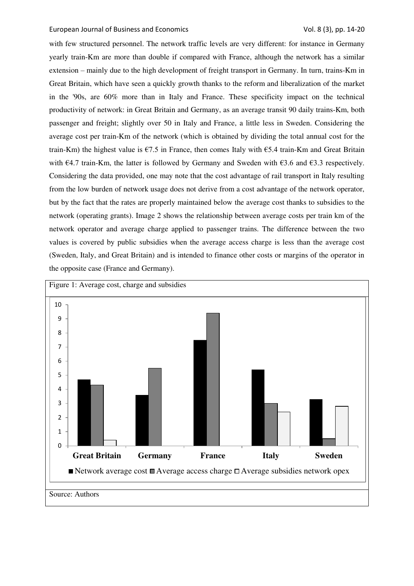with few structured personnel. The network traffic levels are very different: for instance in Germany yearly train-Km are more than double if compared with France, although the network has a similar extension – mainly due to the high development of freight transport in Germany. In turn, trains-Km in Great Britain, which have seen a quickly growth thanks to the reform and liberalization of the market in the '90s, are 60% more than in Italy and France. These specificity impact on the technical productivity of network: in Great Britain and Germany, as an average transit 90 daily trains-Km, both passenger and freight; slightly over 50 in Italy and France, a little less in Sweden. Considering the average cost per train-Km of the network (which is obtained by dividing the total annual cost for the train-Km) the highest value is  $\epsilon$ 7.5 in France, then comes Italy with  $\epsilon$ 5.4 train-Km and Great Britain with  $\epsilon$ 4.7 train-Km, the latter is followed by Germany and Sweden with  $\epsilon$ 3.6 and  $\epsilon$ 3.3 respectively. Considering the data provided, one may note that the cost advantage of rail transport in Italy resulting from the low burden of network usage does not derive from a cost advantage of the network operator, but by the fact that the rates are properly maintained below the average cost thanks to subsidies to the network (operating grants). Image 2 shows the relationship between average costs per train km of the network operator and average charge applied to passenger trains. The difference between the two values is covered by public subsidies when the average access charge is less than the average cost (Sweden, Italy, and Great Britain) and is intended to finance other costs or margins of the operator in the opposite case (France and Germany).

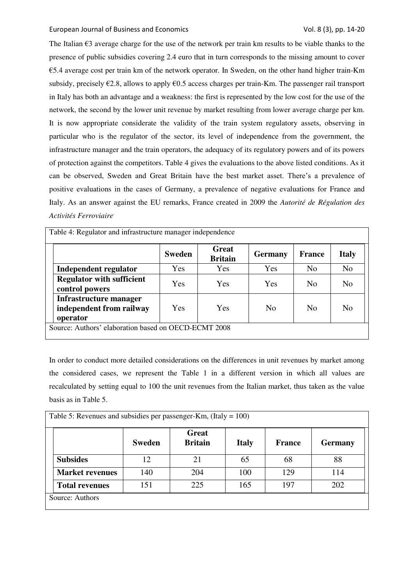The Italian  $\epsilon$ 3 average charge for the use of the network per train km results to be viable thanks to the presence of public subsidies covering 2.4 euro that in turn corresponds to the missing amount to cover €5.4 average cost per train km of the network operator. In Sweden, on the other hand higher train-Km subsidy, precisely  $\epsilon$ 2.8, allows to apply  $\epsilon$ 0.5 access charges per train-Km. The passenger rail transport in Italy has both an advantage and a weakness: the first is represented by the low cost for the use of the network, the second by the lower unit revenue by market resulting from lower average charge per km. It is now appropriate considerate the validity of the train system regulatory assets, observing in particular who is the regulator of the sector, its level of independence from the government, the infrastructure manager and the train operators, the adequacy of its regulatory powers and of its powers of protection against the competitors. Table 4 gives the evaluations to the above listed conditions. As it can be observed, Sweden and Great Britain have the best market asset. There's a prevalence of positive evaluations in the cases of Germany, a prevalence of negative evaluations for France and Italy. As an answer against the EU remarks, France created in 2009 the *Autorité de Régulation des Activités Ferroviaire.*

| Table 4: Regulator and infrastructure manager independence     |               |                                |                |                |                |  |  |
|----------------------------------------------------------------|---------------|--------------------------------|----------------|----------------|----------------|--|--|
|                                                                | <b>Sweden</b> | <b>Great</b><br><b>Britain</b> | <b>Germany</b> | France         | <b>Italy</b>   |  |  |
| Independent regulator                                          | Yes           | Yes                            | Yes            | N <sub>o</sub> | N <sub>o</sub> |  |  |
| <b>Regulator with sufficient</b><br>control powers             | Yes           | Yes                            | Yes            | N <sub>0</sub> | N <sub>0</sub> |  |  |
| Infrastructure manager<br>independent from railway<br>operator | <b>Yes</b>    | <b>Yes</b>                     | N <sub>0</sub> | N <sub>0</sub> | N <sub>0</sub> |  |  |
| Source: Authors' elaboration based on OECD-ECMT 2008           |               |                                |                |                |                |  |  |

In order to conduct more detailed considerations on the differences in unit revenues by market among the considered cases, we represent the Table 1 in a different version in which all values are recalculated by setting equal to 100 the unit revenues from the Italian market, thus taken as the value basis as in Table 5.

| Table 5: Revenues and subsidies per passenger-Km, (Italy = $100$ ) |                        |               |                         |              |               |                |  |  |
|--------------------------------------------------------------------|------------------------|---------------|-------------------------|--------------|---------------|----------------|--|--|
|                                                                    |                        | <b>Sweden</b> | Great<br><b>Britain</b> | <b>Italy</b> | <b>France</b> | <b>Germany</b> |  |  |
|                                                                    | <b>Subsides</b>        | 12            | 21                      | 65           | 68            | 88             |  |  |
|                                                                    | <b>Market revenues</b> | 140           | 204                     | 100          | 129           | 114            |  |  |
|                                                                    | <b>Total revenues</b>  | 151           | 225                     | 165          | 197           | 202            |  |  |
|                                                                    | Source: Authors        |               |                         |              |               |                |  |  |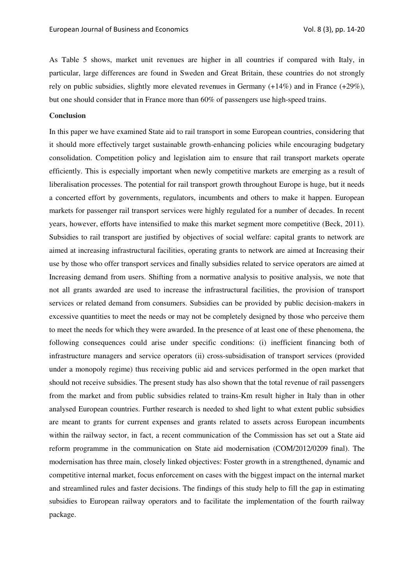As Table 5 shows, market unit revenues are higher in all countries if compared with Italy, in particular, large differences are found in Sweden and Great Britain, these countries do not strongly rely on public subsidies, slightly more elevated revenues in Germany (+14%) and in France (+29%), but one should consider that in France more than 60% of passengers use high-speed trains.

#### **Conclusion**

In this paper we have examined State aid to rail transport in some European countries, considering that it should more effectively target sustainable growth-enhancing policies while encouraging budgetary consolidation. Competition policy and legislation aim to ensure that rail transport markets operate efficiently. This is especially important when newly competitive markets are emerging as a result of liberalisation processes. The potential for rail transport growth throughout Europe is huge, but it needs a concerted effort by governments, regulators, incumbents and others to make it happen. European markets for passenger rail transport services were highly regulated for a number of decades. In recent years, however, efforts have intensified to make this market segment more competitive (Beck, 2011). Subsidies to rail transport are justified by objectives of social welfare: capital grants to network are aimed at increasing infrastructural facilities, operating grants to network are aimed at Increasing their use by those who offer transport services and finally subsidies related to service operators are aimed at Increasing demand from users. Shifting from a normative analysis to positive analysis, we note that not all grants awarded are used to increase the infrastructural facilities, the provision of transport services or related demand from consumers. Subsidies can be provided by public decision-makers in excessive quantities to meet the needs or may not be completely designed by those who perceive them to meet the needs for which they were awarded. In the presence of at least one of these phenomena, the following consequences could arise under specific conditions: (i) inefficient financing both of infrastructure managers and service operators (ii) cross-subsidisation of transport services (provided under a monopoly regime) thus receiving public aid and services performed in the open market that should not receive subsidies. The present study has also shown that the total revenue of rail passengers from the market and from public subsidies related to trains-Km result higher in Italy than in other analysed European countries. Further research is needed to shed light to what extent public subsidies are meant to grants for current expenses and grants related to assets across European incumbents within the railway sector, in fact, a recent communication of the Commission has set out a State aid reform programme in the communication on State aid modernisation (COM/2012/0209 final). The modernisation has three main, closely linked objectives: Foster growth in a strengthened, dynamic and competitive internal market, focus enforcement on cases with the biggest impact on the internal market and streamlined rules and faster decisions. The findings of this study help to fill the gap in estimating subsidies to European railway operators and to facilitate the implementation of the fourth railway package.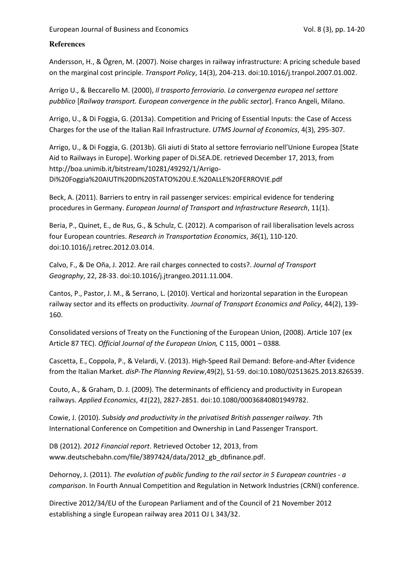# **References**

Andersson, H., & Ögren, M. (2007). Noise charges in railway infrastructure: A pricing schedule based on the marginal cost principle. *Transport Policy*, 14(3), 204-213. doi:10.1016/j.tranpol.2007.01.002.

Arrigo U., & Beccarello M. (2000), *Il trasporto ferroviario. La convergenza europea nel settore pubblico* [*Railway transport. European convergence in the public sector*]. Franco Angeli, Milano.

Arrigo, U., & Di Foggia, G. (2013a). Competition and Pricing of Essential Inputs: the Case of Access Charges for the use of the Italian Rail Infrastructure. *UTMS Journal of Economics*, 4(3), 295-307.

Arrigo, U., & Di Foggia, G. (2013b). Gli aiuti di Stato al settore ferroviario nell'Unione Europea [State Aid to Railways in Europe]. Working paper of Di.SEA.DE. retrieved December 17, 2013, from http://boa.unimib.it/bitstream/10281/49292/1/Arrigo-Di%20Foggia%20AIUTI%20DI%20STATO%20U.E.%20ALLE%20FERROVIE.pdf

Beck, A. (2011). Barriers to entry in rail passenger services: empirical evidence for tendering procedures in Germany. *European Journal of Transport and Infrastructure Research*, 11(1).

Beria, P., Quinet, E., de Rus, G., & Schulz, C. (2012). A comparison of rail liberalisation levels across four European countries. *Research in Transportation Economics*, *36*(1), 110-120. doi:10.1016/j.retrec.2012.03.014.

Calvo, F., & De Oña, J. 2012. Are rail charges connected to costs?. *Journal of Transport Geography*, 22, 28-33. doi:10.1016/j.jtrangeo.2011.11.004.

Cantos, P., Pastor, J. M., & Serrano, L. (2010). Vertical and horizontal separation in the European railway sector and its effects on productivity. *Journal of Transport Economics and Policy*, 44(2), 139- 160.

Consolidated versions of Treaty on the Functioning of the European Union, (2008). Article 107 (ex Article 87 TEC). *Official Journal of the European Union,* C 115, 0001 – 0388*.* 

Cascetta, E., Coppola, P., & Velardi, V. (2013). High-Speed Rail Demand: Before-and-After Evidence from the Italian Market. *disP-The Planning Review*,49(2), 51-59. doi:10.1080/02513625.2013.826539.

Couto, A., & Graham, D. J. (2009). The determinants of efficiency and productivity in European railways. *Applied Economics*, *41*(22), 2827-2851. doi:10.1080/00036840801949782.

Cowie, J. (2010). *Subsidy and productivity in the privatised British passenger railway*. 7th International Conference on Competition and Ownership in Land Passenger Transport.

DB (2012). *2012 Financial report*. Retrieved October 12, 2013, from www.deutschebahn.com/file/3897424/data/2012\_gb\_dbfinance.pdf.

Dehornoy, J. (2011). *The evolution of public funding to the rail sector in 5 European countries - a comparison*. In Fourth Annual Competition and Regulation in Network Industries (CRNI) conference.

Directive 2012/34/EU of the European Parliament and of the Council of 21 November 2012 establishing a single European railway area 2011 OJ L 343/32.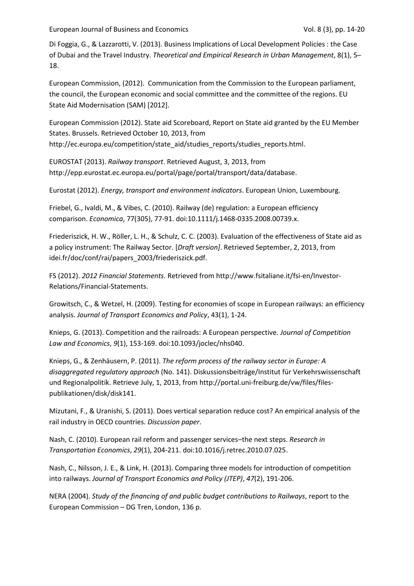Di Foggia, G., & Lazzarotti, V. (2013). Business Implications of Local Development Policies : the Case of Dubai and the Travel Industry. *Theoretical and Empirical Research in Urban Management*, 8(1), 5– 18.

European Commission, (2012). Communication from the Commission to the European parliament, the council, the European economic and social committee and the committee of the regions. EU State Aid Modernisation (SAM) [2012].

European Commission (2012). State aid Scoreboard, Report on State aid granted by the EU Member States. Brussels. Retrieved October 10, 2013, from http://ec.europa.eu/competition/state\_aid/studies\_reports/studies\_reports.html.

EUROSTAT (2013). *Railway transport*. Retrieved August, 3, 2013, from http://epp.eurostat.ec.europa.eu/portal/page/portal/transport/data/database.

Eurostat (2012). *Energy, transport and environment indicators*. European Union, Luxembourg.

Friebel, G., Ivaldi, M., & Vibes, C. (2010). Railway (de) regulation: a European efficiency comparison. *Economica*, 77(305), 77-91. doi:10.1111/j.1468-0335.2008.00739.x.

Friederiszick, H. W., Röller, L. H., & Schulz, C. C. (2003). Evaluation of the effectiveness of State aid as a policy instrument: The Railway Sector. [*Draft version]*. Retrieved September, 2, 2013, from idei.fr/doc/conf/rai/papers\_2003/friederiszick.pdf.

FS (2012). *2012 Financial Statements*. Retrieved from http://www.fsitaliane.it/fsi-en/Investor-Relations/Financial-Statements.

Growitsch, C., & Wetzel, H. (2009). Testing for economies of scope in European railways: an efficiency analysis. *Journal of Transport Economics and Policy*, 43(1), 1-24.

Knieps, G. (2013). Competition and the railroads: A European perspective. *Journal of Competition Law and Economics*, *9*(1), 153-169. doi:10.1093/joclec/nhs040.

Knieps, G., & Zenhäusern, P. (2011). *The reform process of the railway sector in Europe: A disaggregated regulatory approach* (No. 141). Diskussionsbeiträge/Institut für Verkehrswissenschaft und Regionalpolitik. Retrieve July, 1, 2013, from http://portal.uni-freiburg.de/vw/files/filespublikationen/disk/disk141.

Mizutani, F., & Uranishi, S. (2011). Does vertical separation reduce cost? An empirical analysis of the rail industry in OECD countries. *Discussion paper*.

Nash, C. (2010). European rail reform and passenger services–the next steps. *Research in Transportation Economics*, *29*(1), 204-211. doi:10.1016/j.retrec.2010.07.025.

Nash, C., Nilsson, J. E., & Link, H. (2013). Comparing three models for introduction of competition into railways. *Journal of Transport Economics and Policy (JTEP)*, *47*(2), 191-206.

NERA (2004). *Study of the financing of and public budget contributions to Railways*, report to the European Commission – DG Tren, London, 136 p.